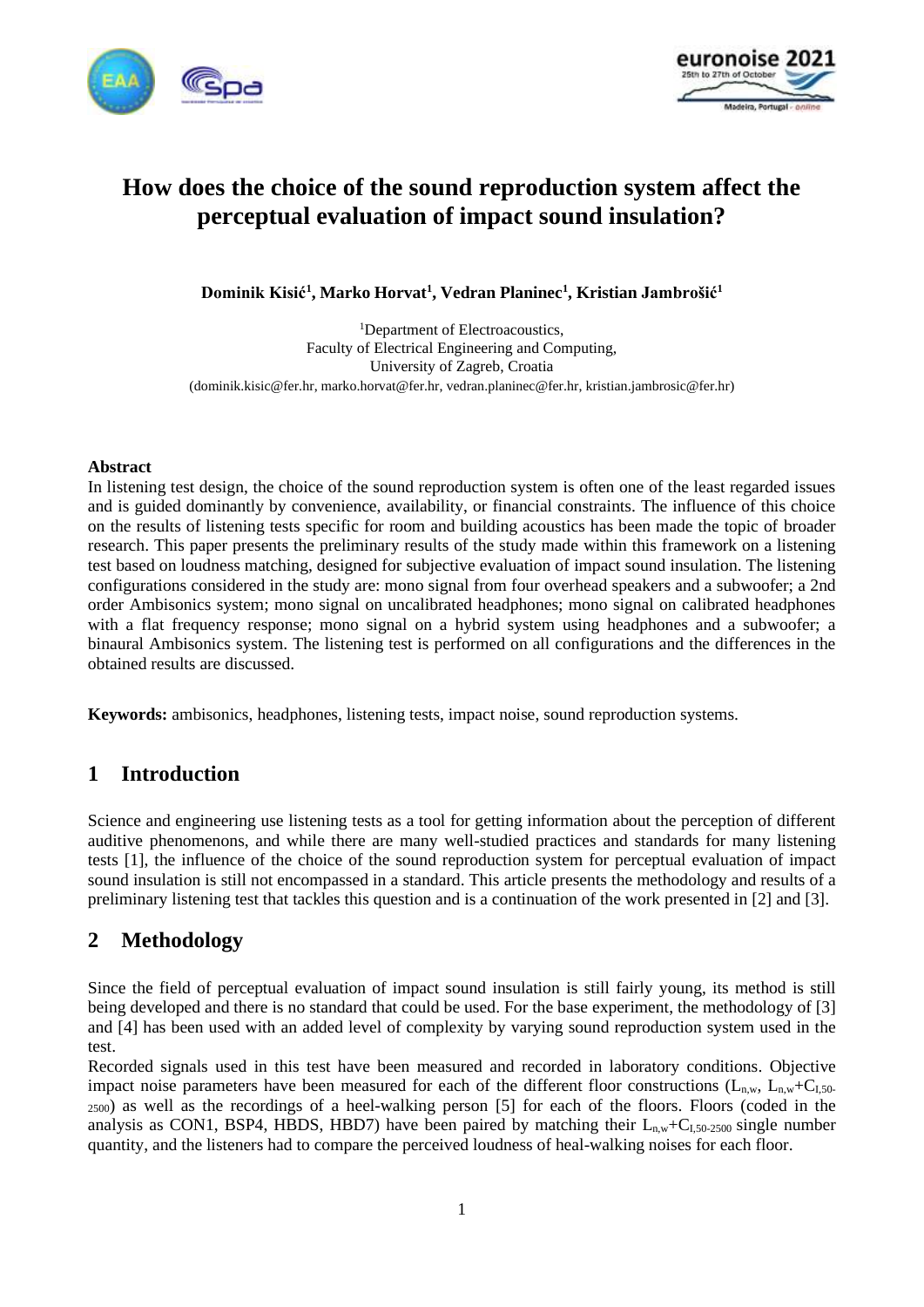



# **How does the choice of the sound reproduction system affect the perceptual evaluation of impact sound insulation?**

**Dominik Kisić<sup>1</sup> , Marko Horvat<sup>1</sup> , Vedran Planinec<sup>1</sup> , Kristian Jambrošić<sup>1</sup>**

<sup>1</sup>Department of Electroacoustics, Faculty of Electrical Engineering and Computing, University of Zagreb, Croatia (dominik.kisic@fer.hr, marko.horvat@fer.hr, vedran.planinec@fer.hr, kristian.jambrosic@fer.hr)

#### **Abstract**

In listening test design, the choice of the sound reproduction system is often one of the least regarded issues and is guided dominantly by convenience, availability, or financial constraints. The influence of this choice on the results of listening tests specific for room and building acoustics has been made the topic of broader research. This paper presents the preliminary results of the study made within this framework on a listening test based on loudness matching, designed for subjective evaluation of impact sound insulation. The listening configurations considered in the study are: mono signal from four overhead speakers and a subwoofer; a 2nd order Ambisonics system; mono signal on uncalibrated headphones; mono signal on calibrated headphones with a flat frequency response; mono signal on a hybrid system using headphones and a subwoofer; a binaural Ambisonics system. The listening test is performed on all configurations and the differences in the obtained results are discussed.

**Keywords:** ambisonics, headphones, listening tests, impact noise, sound reproduction systems.

## **1 Introduction**

Science and engineering use listening tests as a tool for getting information about the perception of different auditive phenomenons, and while there are many well-studied practices and standards for many listening tests [1], the influence of the choice of the sound reproduction system for perceptual evaluation of impact sound insulation is still not encompassed in a standard. This article presents the methodology and results of a preliminary listening test that tackles this question and is a continuation of the work presented in [2] and [3].

## **2 Methodology**

Since the field of perceptual evaluation of impact sound insulation is still fairly young, its method is still being developed and there is no standard that could be used. For the base experiment, the methodology of [3] and [4] has been used with an added level of complexity by varying sound reproduction system used in the test.

Recorded signals used in this test have been measured and recorded in laboratory conditions. Objective impact noise parameters have been measured for each of the different floor constructions  $(L_{n,w}, L_{n,w}+C_{1,50-1})$ <sup>2500</sup>) as well as the recordings of a heel-walking person [5] for each of the floors. Floors (coded in the analysis as CON1, BSP4, HBDS, HBD7) have been paired by matching their  $L_{n,w} + C_{1.50-2500}$  single number quantity, and the listeners had to compare the perceived loudness of heal-walking noises for each floor.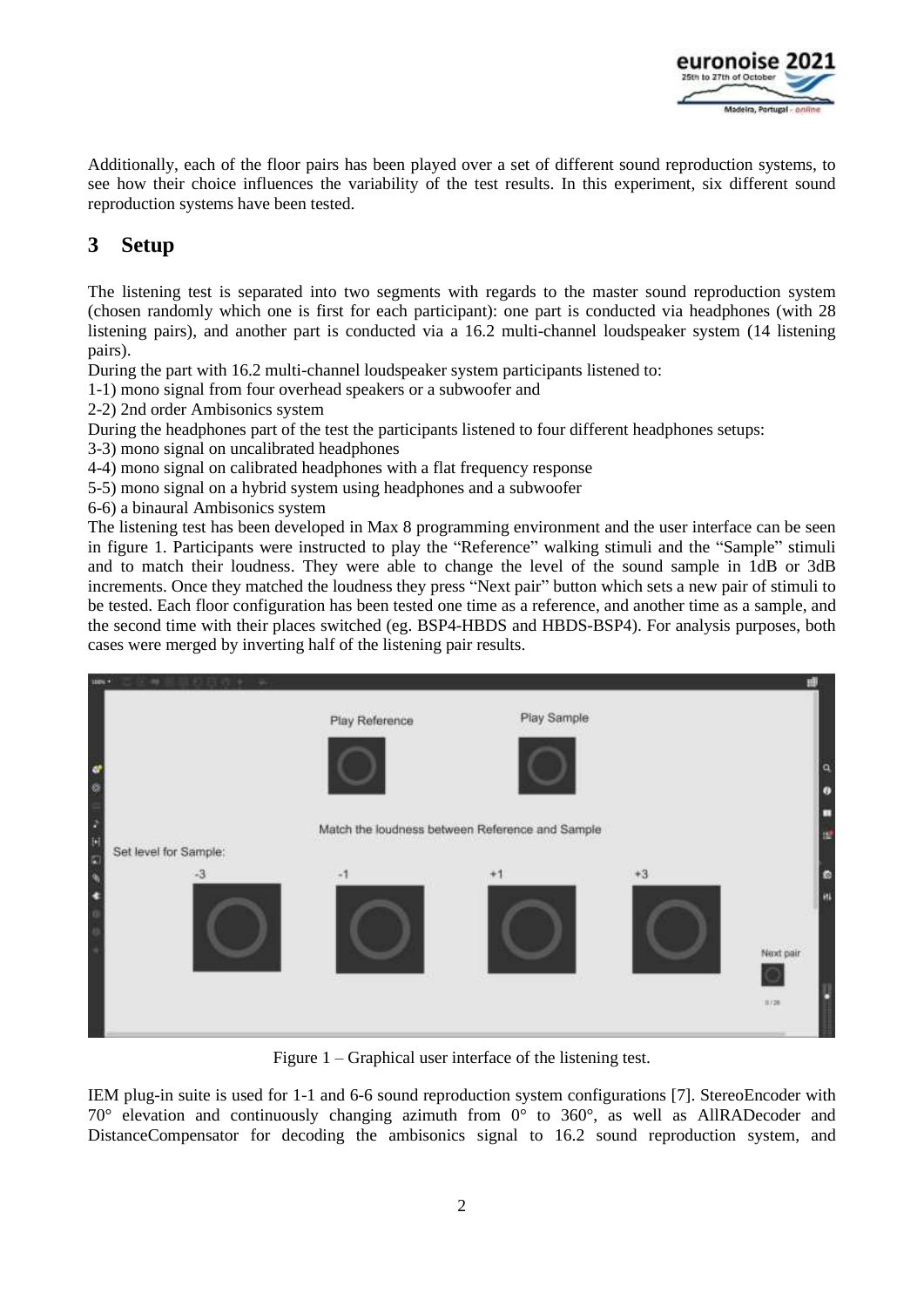

Additionally, each of the floor pairs has been played over a set of different sound reproduction systems, to see how their choice influences the variability of the test results. In this experiment, six different sound reproduction systems have been tested.

# **3 Setup**

The listening test is separated into two segments with regards to the master sound reproduction system (chosen randomly which one is first for each participant): one part is conducted via headphones (with 28 listening pairs), and another part is conducted via a 16.2 multi-channel loudspeaker system (14 listening pairs).

During the part with 16.2 multi-channel loudspeaker system participants listened to:

1-1) mono signal from four overhead speakers or a subwoofer and

2-2) 2nd order Ambisonics system

During the headphones part of the test the participants listened to four different headphones setups:

3-3) mono signal on uncalibrated headphones

4-4) mono signal on calibrated headphones with a flat frequency response

- 5-5) mono signal on a hybrid system using headphones and a subwoofer
- 6-6) a binaural Ambisonics system

The listening test has been developed in Max 8 programming environment and the user interface can be seen in figure 1. Participants were instructed to play the "Reference" walking stimuli and the "Sample" stimuli and to match their loudness. They were able to change the level of the sound sample in 1dB or 3dB increments. Once they matched the loudness they press "Next pair" button which sets a new pair of stimuli to be tested. Each floor configuration has been tested one time as a reference, and another time as a sample, and the second time with their places switched (eg. BSP4-HBDS and HBDS-BSP4). For analysis purposes, both cases were merged by inverting half of the listening pair results.



Figure 1 – Graphical user interface of the listening test.

IEM plug-in suite is used for 1-1 and 6-6 sound reproduction system configurations [7]. StereoEncoder with 70° elevation and continuously changing azimuth from 0° to 360°, as well as AllRADecoder and DistanceCompensator for decoding the ambisonics signal to 16.2 sound reproduction system, and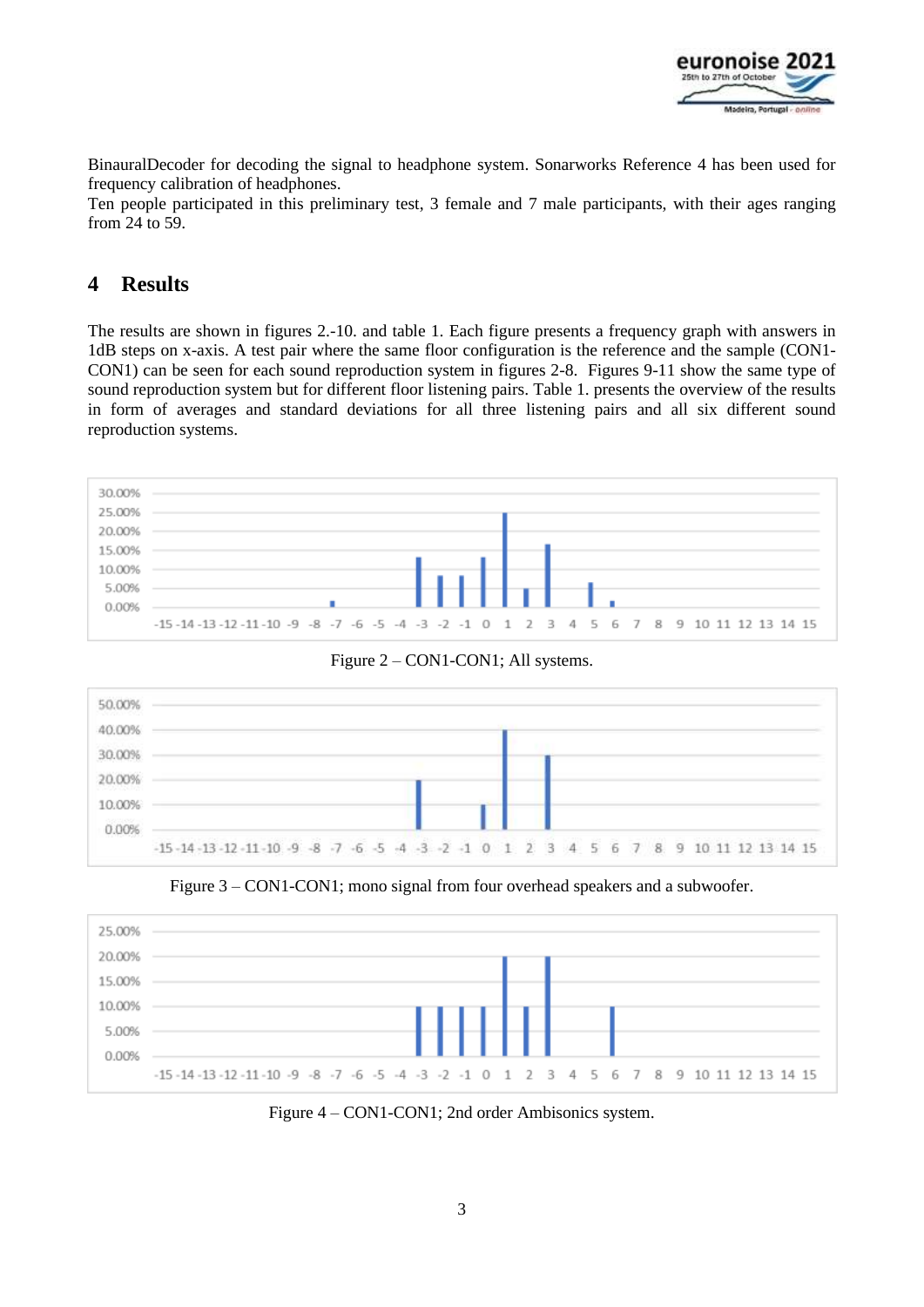

BinauralDecoder for decoding the signal to headphone system. Sonarworks Reference 4 has been used for frequency calibration of headphones.

Ten people participated in this preliminary test, 3 female and 7 male participants, with their ages ranging from 24 to 59.

# **4 Results**

The results are shown in figures 2.-10. and table 1. Each figure presents a frequency graph with answers in 1dB steps on x-axis. A test pair where the same floor configuration is the reference and the sample (CON1-CON1) can be seen for each sound reproduction system in figures 2-8. Figures 9-11 show the same type of sound reproduction system but for different floor listening pairs. Table 1. presents the overview of the results in form of averages and standard deviations for all three listening pairs and all six different sound reproduction systems.







Figure 3 – CON1-CON1; mono signal from four overhead speakers and a subwoofer.



Figure 4 – CON1-CON1; 2nd order Ambisonics system.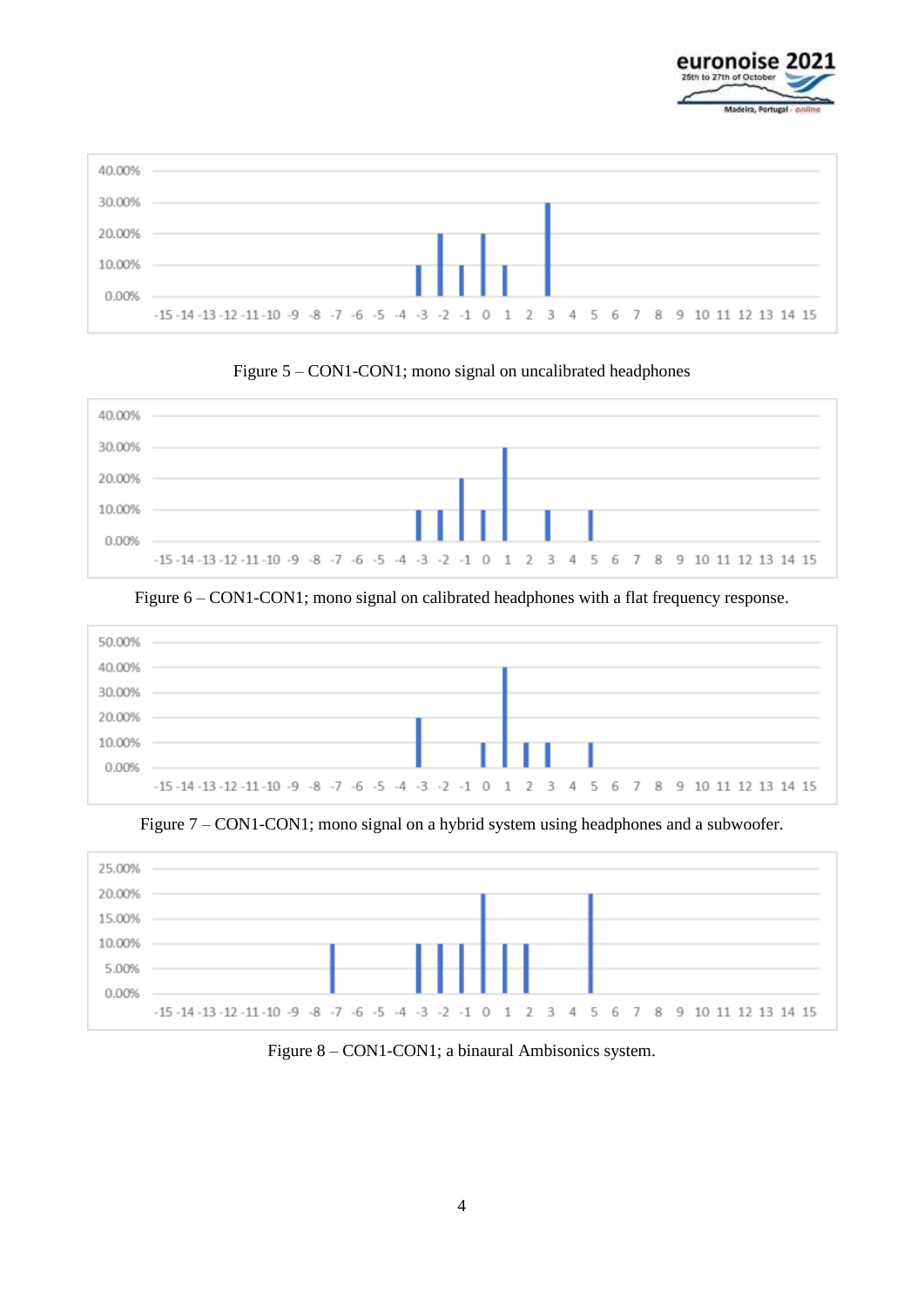



Figure 5 – CON1-CON1; mono signal on uncalibrated headphones



Figure 6 – CON1-CON1; mono signal on calibrated headphones with a flat frequency response.



Figure 7 – CON1-CON1; mono signal on a hybrid system using headphones and a subwoofer.



Figure 8 – CON1-CON1; a binaural Ambisonics system.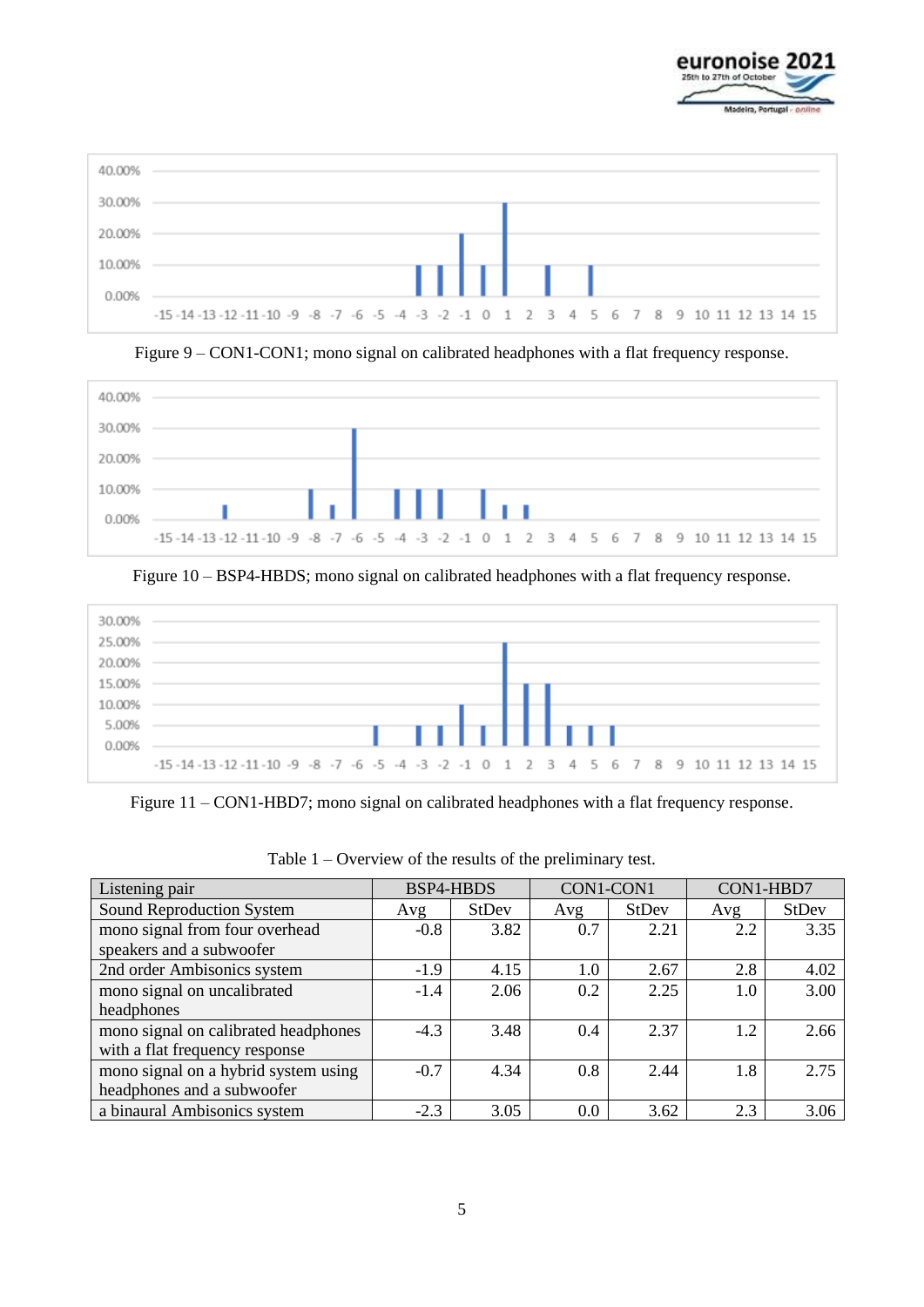



Figure 9 – CON1-CON1; mono signal on calibrated headphones with a flat frequency response.



Figure 10 – BSP4-HBDS; mono signal on calibrated headphones with a flat frequency response.



Figure 11 – CON1-HBD7; mono signal on calibrated headphones with a flat frequency response.

| Listening pair                       | <b>BSP4-HBDS</b> |       | CON1-CON1 |       | CON1-HBD7 |              |
|--------------------------------------|------------------|-------|-----------|-------|-----------|--------------|
| Sound Reproduction System            | Avg              | StDev | Avg       | StDev | Avg       | <b>StDev</b> |
| mono signal from four overhead       | $-0.8$           | 3.82  | 0.7       | 2.21  | 2.2       | 3.35         |
| speakers and a subwoofer             |                  |       |           |       |           |              |
| 2nd order Ambisonics system          | $-1.9$           | 4.15  | 1.0       | 2.67  | 2.8       | 4.02         |
| mono signal on uncalibrated          | $-1.4$           | 2.06  | 0.2       | 2.25  | $1.0\,$   | 3.00         |
| headphones                           |                  |       |           |       |           |              |
| mono signal on calibrated headphones | $-4.3$           | 3.48  | 0.4       | 2.37  | 1.2       | 2.66         |
| with a flat frequency response       |                  |       |           |       |           |              |
| mono signal on a hybrid system using | $-0.7$           | 4.34  | 0.8       | 2.44  | 1.8       | 2.75         |
| headphones and a subwoofer           |                  |       |           |       |           |              |
| a binaural Ambisonics system         | $-2.3$           | 3.05  | 0.0       | 3.62  | 2.3       | 3.06         |

Table 1 – Overview of the results of the preliminary test.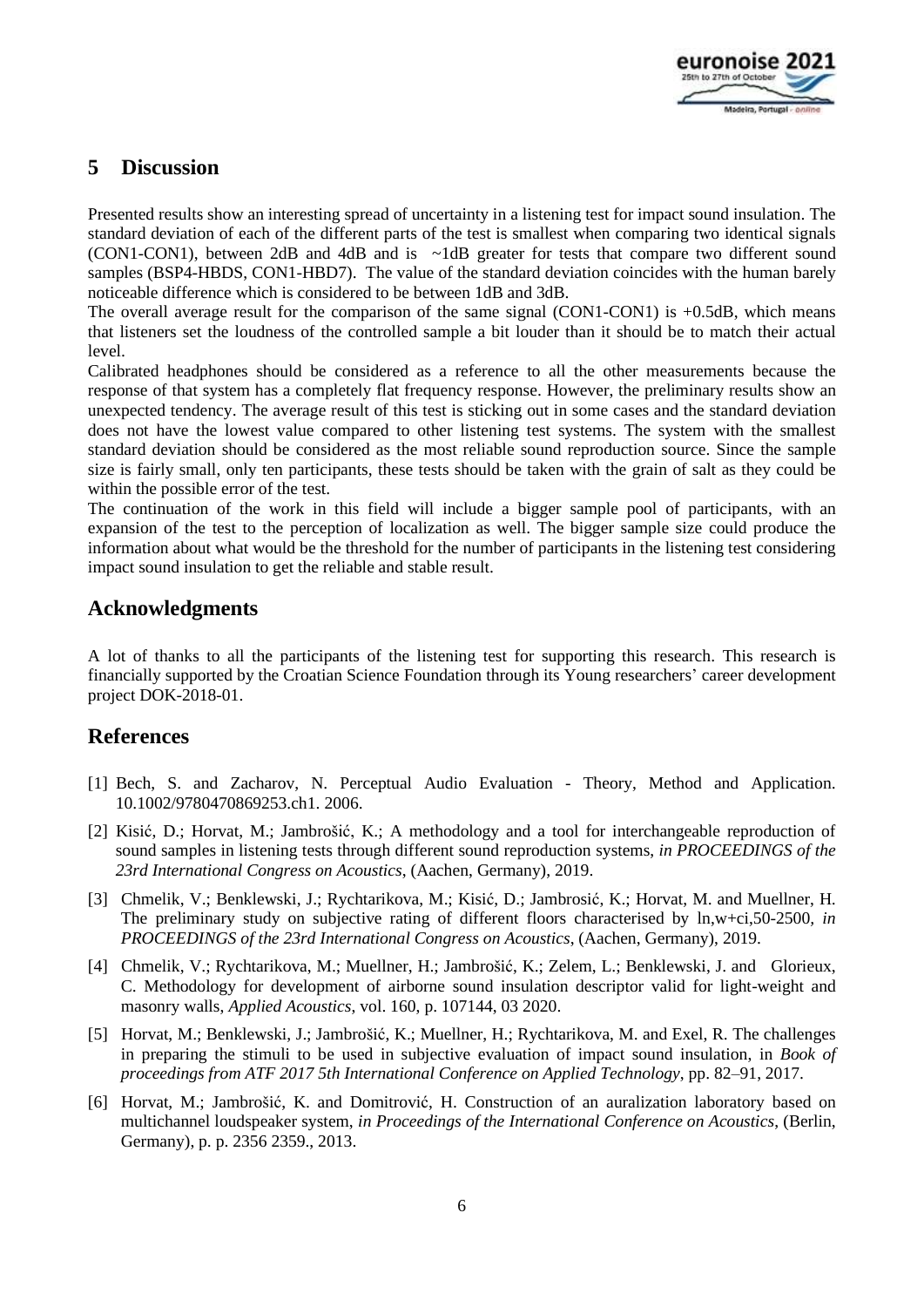

# **5 Discussion**

Presented results show an interesting spread of uncertainty in a listening test for impact sound insulation. The standard deviation of each of the different parts of the test is smallest when comparing two identical signals (CON1-CON1), between 2dB and 4dB and is ~1dB greater for tests that compare two different sound samples (BSP4-HBDS, CON1-HBD7). The value of the standard deviation coincides with the human barely noticeable difference which is considered to be between 1dB and 3dB.

The overall average result for the comparison of the same signal (CON1-CON1) is  $+0.5dB$ , which means that listeners set the loudness of the controlled sample a bit louder than it should be to match their actual level.

Calibrated headphones should be considered as a reference to all the other measurements because the response of that system has a completely flat frequency response. However, the preliminary results show an unexpected tendency. The average result of this test is sticking out in some cases and the standard deviation does not have the lowest value compared to other listening test systems. The system with the smallest standard deviation should be considered as the most reliable sound reproduction source. Since the sample size is fairly small, only ten participants, these tests should be taken with the grain of salt as they could be within the possible error of the test.

The continuation of the work in this field will include a bigger sample pool of participants, with an expansion of the test to the perception of localization as well. The bigger sample size could produce the information about what would be the threshold for the number of participants in the listening test considering impact sound insulation to get the reliable and stable result.

## **Acknowledgments**

A lot of thanks to all the participants of the listening test for supporting this research. This research is financially supported by the Croatian Science Foundation through its Young researchers' career development project DOK-2018-01.

## **References**

- [1] Bech, S. and Zacharov, N. Perceptual Audio Evaluation Theory, Method and Application. 10.1002/9780470869253.ch1. 2006.
- [2] Kisić, D.; Horvat, M.; Jambrošić, K.; A methodology and a tool for interchangeable reproduction of sound samples in listening tests through different sound reproduction systems, *in PROCEEDINGS of the 23rd International Congress on Acoustics*, (Aachen, Germany), 2019.
- [3] Chmelik, V.; Benklewski, J.; Rychtarikova, M.; Kisić, D.; Jambrosić, K.; Horvat, M. and Muellner, H. The preliminary study on subjective rating of different floors characterised by ln,w+ci,50-2500*, in PROCEEDINGS of the 23rd International Congress on Acoustics*, (Aachen, Germany), 2019.
- [4] Chmelik, V.; Rychtarikova, M.; Muellner, H.; Jambrošić, K.; Zelem, L.; Benklewski, J. and Glorieux, C. Methodology for development of airborne sound insulation descriptor valid for light-weight and masonry walls, *Applied Acoustics*, vol. 160, p. 107144, 03 2020.
- [5] Horvat, M.; Benklewski, J.; Jambrošić, K.; Muellner, H.; Rychtarikova, M. and Exel, R. The challenges in preparing the stimuli to be used in subjective evaluation of impact sound insulation, in *Book of proceedings from ATF 2017 5th International Conference on Applied Technology*, pp. 82–91, 2017.
- [6] Horvat, M.; Jambrošić, K. and Domitrović, H. Construction of an auralization laboratory based on multichannel loudspeaker system, *in Proceedings of the International Conference on Acoustics*, (Berlin, Germany), p. p. 2356 2359., 2013.